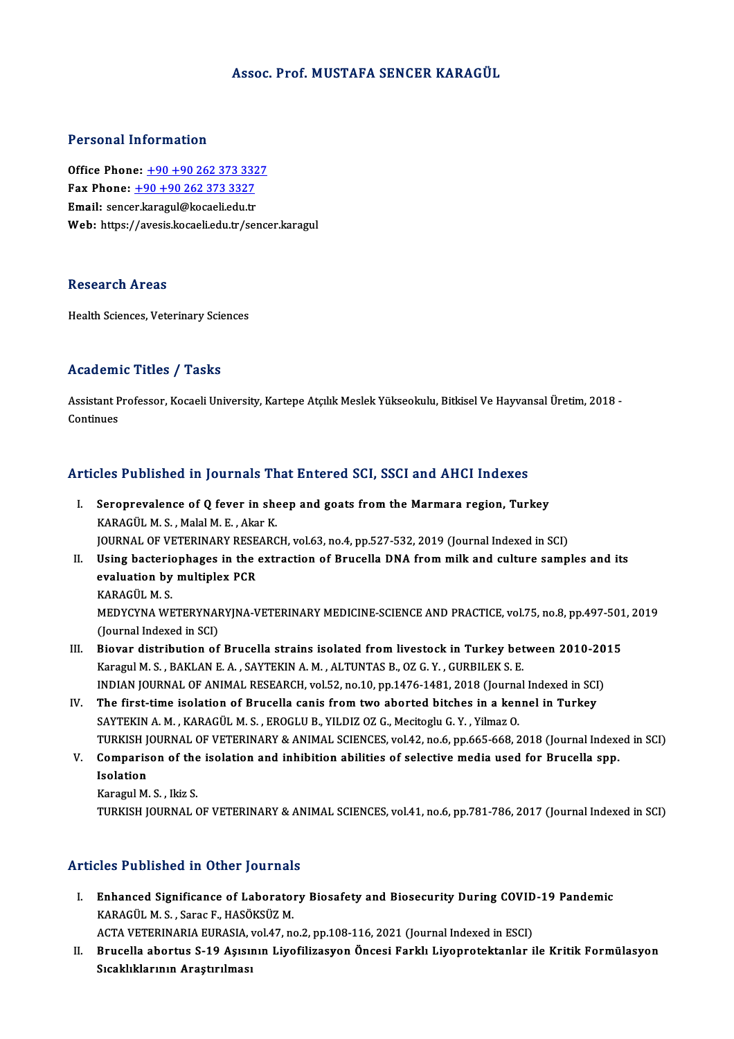#### Assoc. Prof.MUSTAFA SENCER KARAGÜL

#### Personal Information

Office Phone: +90+90 262 373 3327 Fax Phone: <u>+90 +90 262 373 332</u><br>Fax Phone: <u>+90 +90 262 373 3327</u><br>Fmail: sensor karagu@kasaali.edu.tr Office Phone: <u>+90 +90 262 373 332</u><br>Fax Phone: <u>+90 +90 262 373 3327</u><br>Email: sence[r.karagul@kocaeli.edu.tr](tel:+90 +90 262 373 3327)<br>Web: https://avosis.kocaeli.edu.tr Email: sencer.karagul@kocaeli.edu.tr<br>Web: https://avesis.kocaeli.edu.tr/sencer.karagul

#### Research Areas

Health Sciences, Veterinary Sciences

### Academic Titles / Tasks

**Academic Titles / Tasks**<br>Assistant Professor, Kocaeli University, Kartepe Atçılık Meslek Yükseokulu, Bitkisel Ve Hayvansal Üretim, 2018 -<br>Continues Assistant P<br>Continues

# Articles Published in Journals That Entered SCI, SSCI and AHCI Indexes

- rticles Published in Journals That Entered SCI, SSCI and AHCI Indexes<br>I. Seroprevalence of Q fever in sheep and goats from the Marmara region, Turkey<br>KARACÜLM S. Malal M E. Akar K Seroprevalence of Q fever in show<br>KARAGÜL M.S., Malal M.E., Akar K.<br>JOUPMAL OF VETEDIMARY PESEARC KARAGÜL M. S. , Malal M. E. , Akar K.<br>JOURNAL OF VETERINARY RESEARCH, vol.63, no.4, pp.527-532, 2019 (Journal Indexed in SCI)
- KARAGÜL M. S. , Malal M. E. , Akar K.<br>JOURNAL OF VETERINARY RESEARCH, vol.63, no.4, pp.527-532, 2019 (Journal Indexed in SCI)<br>II. Using bacteriophages in the extraction of Brucella DNA from milk and culture samples and its JOURNAL OF VETERINARY RESE<br>Using bacteriophages in the<br>evaluation by multiplex PCR<br>KARACÜL M S Using bacterion<br>evaluation by<br>KARAGÜL M. S.<br>MEDVCVNA WE evaluation by multiplex PCR<br>KARAGÜL M. S.<br>MEDYCYNA WETERYNARYJNA-VETERINARY MEDICINE-SCIENCE AND PRACTICE, vol.75, no.8, pp.497-501, 2019<br>(Jaurnal Indoved in SCI) KARAGÜL M. S.<br>MEDYCYNA WETERYNAI<br>(Journal Indexed in SCI)<br>Piewer distribution of MEDYCYNA WETERYNARYJNA-VETERINARY MEDICINE-SCIENCE AND PRACTICE, vol.75, no.8, pp.497-501<br>(Journal Indexed in SCI)<br>III. Biovar distribution of Brucella strains isolated from livestock in Turkey between 2010-2015<br>Kanagul M.
- (Journal Indexed in SCI)<br>Biovar distribution of Brucella strains isolated from livestock in Turkey between 2010-20<br>Karagul M. S. , BAKLAN E. A. , SAYTEKIN A. M. , ALTUNTAS B., OZ G. Y. , GURBILEK S. E.<br>INDIAN JOURNAL OF AN III. Biovar distribution of Brucella strains isolated from livestock in Turkey between 2010-2015
- IV. The first-time isolation of Brucella canis from two aborted bitches in a kennel in Turkey SAYTEKIN A. M., KARAGÜLM.S., EROGLU B., YILDIZ OZ G., Mecitoglu G.Y., Yilmaz O. The first-time isolation of Brucella canis from two aborted bitches in a kennel in Turkey<br>SAYTEKIN A. M. , KARAGÜL M. S. , EROGLU B., YILDIZ OZ G., Mecitoglu G. Y. , Yilmaz O.<br>TURKISH JOURNAL OF VETERINARY & ANIMAL SCIENCE SAYTEKIN A. M. , KARAGÜL M. S. , EROGLU B., YILDIZ OZ G., Mecitoglu G. Y. , Yilmaz O.<br>TURKISH JOURNAL OF VETERINARY & ANIMAL SCIENCES, vol.42, no.6, pp.665-668, 2018 (Journal Indexe<br>V. Comparison of the isolation and inhib
- TURKISH J<br>Comparis<br>Isolation<br>Karagul M **Comparison of the<br>Isolation<br>Karagul M. S. , Ikiz S.<br>TURKISH JOURNAL (** Isolation<br>Karagul M. S. , Ikiz S.<br>TURKISH JOURNAL OF VETERINARY & ANIMAL SCIENCES, vol.41, no.6, pp.781-786, 2017 (Journal Indexed in SCI)
	-

#### Articles Published in Other Journals

rticles Published in Other Journals<br>I. Enhanced Significance of Laboratory Biosafety and Biosecurity During COVID-19 Pandemic<br>KARACULM S. Saras E. HASÖVSÜZ M KES TUSHENCU IN GENET JOUTHUM.<br>Enhanced Significance of Laborator<br>KARAGÜL M. S., Sarac F., HASÖKSÜZ M. Enhanced Significance of Laboratory Biosafety and Biosecurity During COVID<br>KARAGÜL M. S. , Sarac F., HASÖKSÜZ M.<br>ACTA VETERINARIA EURASIA, vol.47, no.2, pp.108-116, 2021 (Journal Indexed in ESCI)<br>Prusella abortus S.19, Asi

KARAGÜL M. S. , Sarac F., HASÖKSÜZ M.<br>ACTA VETERINARIA EURASIA, vol.47, no.2, pp.108-116, 2021 (Journal Indexed in ESCI)<br>II. Brucella abortus S-19 Aşısının Liyofilizasyon Öncesi Farklı Liyoprotektanlar ile Kritik Formü ACTA VETERINARIA EURASIA, <sub>'</sub><br>Brucella abortus S-19 Aşısıı<br>Sıcaklıklarının Araştırılması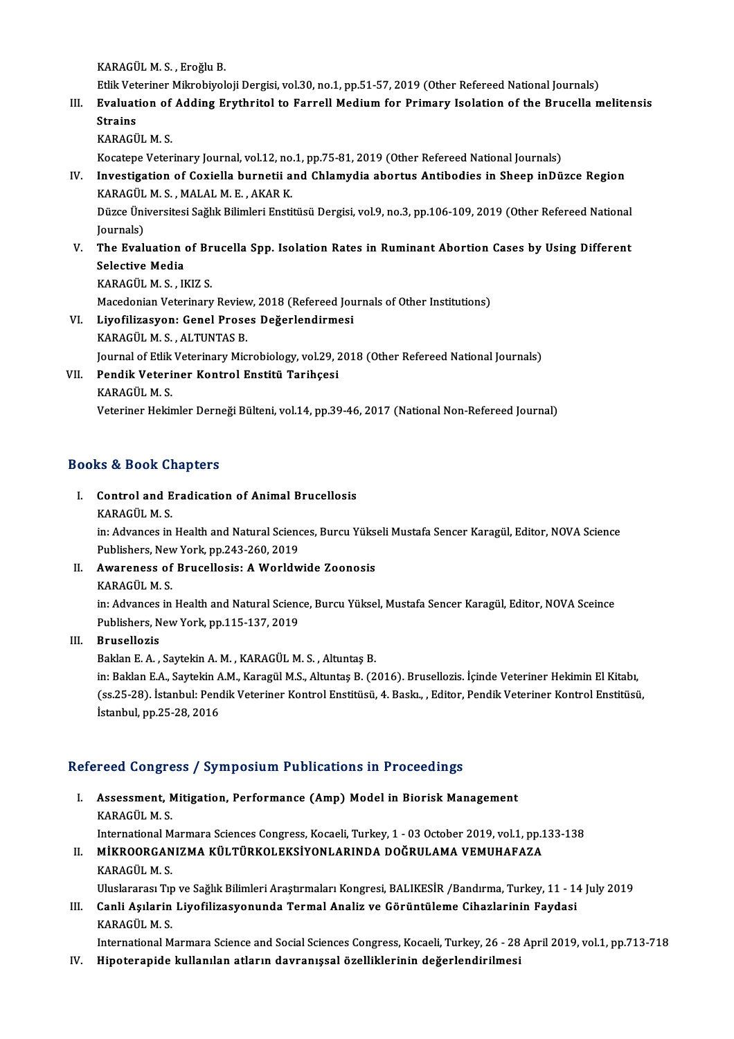KARAGÜLM.S. ,EroğluB.

Etlik Veteriner Mikrobiyoloji Dergisi, vol.30, no.1, pp.51-57, 2019 (Other Refereed National Journals)

# KARAGÜL M. S. , Eroğlu B.<br>Etlik Veteriner Mikrobiyoloji Dergisi, vol.30, no.1, pp.51-57, 2019 (Other Refereed National Journals)<br>III. Evaluation of Adding Erythritol to Farrell Medium for Primary Isolation of the Bruce Etlik Vet<br><mark>Evaluat</mark><br>Strains<br>KARACÜ Evaluation of<br>Strains<br>KARAGÜL M. S.<br>Kosatana Vater Strains<br>KARAGÜL M. S.<br>Kocatepe Veterinary Journal, vol.12, no.1, pp.75-81, 2019 (Other Refereed National Journals)

# KARAGÜL M. S.<br>Kocatepe Veterinary Journal, vol.12, no.1, pp.75-81, 2019 (Other Refereed National Journals)<br>IV. Investigation of Coxiella burnetii and Chlamydia abortus Antibodies in Sheep inDüzce Region<br>KARAGÜL M. S. MALAL Kocatepe Veterinary Journal, vol.12, no<br>Investigation of Coxiella burnetii a<br>KARAGÜL M. S. , MALAL M. E. , AKAR K.<br>Dürce Üniversitesi Soğlu Bilimleri Ensti Investigation of Coxiella burnetii and Chlamydia abortus Antibodies in Sheep inDüzce Region<br>KARAGÜL M. S. , MALAL M. E. , AKAR K.<br>Düzce Üniversitesi Sağlık Bilimleri Enstitüsü Dergisi, vol.9, no.3, pp.106-109, 2019 (Other

KARAGÜL<br>Düzce Üni<br>Journals)<br>The Eval Düzce Üniversitesi Sağlık Bilimleri Enstitüsü Dergisi, vol.9, no.3, pp.106-109, 2019 (Other Refereed National<br>Journals)<br>V. The Evaluation of Brucella Spp. Isolation Rates in Ruminant Abortion Cases by Using Different<br>Selec

# Journals)<br>The Evaluation<br>Selective Media<br>KARACÜL M.S. II The Evaluation of Br<br>Selective Media<br>KARAGÜL M. S. , IKIZ S.<br>Masadanian Vetarinanu Selective Media<br>KARAGÜL M. S. , IKIZ S.<br>Macedonian Veterinary Review, 2018 (Refereed Journals of Other Institutions)<br>Livefilizesven: Conel Preses Dečerlandirmesi

# KARAGÜL M. S. , IKIZ S.<br>Macedonian Veterinary Review, 2018 (Refereed Jou<br>VI. Liyofilizasyon: Genel Proses Değerlendirmesi<br>KARAGÜL M. S. , ALTUNTAS B. Macedonian Veterinary Reviev<br><mark>Liyofilizasyon: Genel Prose</mark><br>KARAGÜL M.S., ALTUNTAS B.<br>Journal of Etlik Veterinary Mic Liyofilizasyon: Genel Proses Değerlendirmesi<br>KARAGÜL M. S. , ALTUNTAS B.<br>Journal of Etlik Veterinary Microbiology, vol.29, 2018 (Other Refereed National Journals)<br>Pondik Veterinar Kantral Enstitü Tarihsesi

VII. Pendik Veteriner Kontrol Enstitü Tarihçesi<br>KARAGÜL M.S. Journal of Etlik<br><mark>Pendik Veteri</mark><br>KARAGÜL M. S.<br>Veteriner Heltis

Veteriner Hekimler Derneği Bülteni, vol.14, pp.39-46, 2017 (National Non-Refereed Journal)

# Books&Book Chapters

I. Control and Eradication of Animal Brucellosis KARAGÜLM.S.

Control and Eradication of Animal Brucellosis<br>KARAGÜL M. S.<br>in: Advances in Health and Natural Sciences, Burcu Yükseli Mustafa Sencer Karagül, Editor, NOVA Science<br>Publishers Now York pp.242,260,2019 KARAGÜL M. S.<br>in: Advances in Health and Natural Scienc<br>Publishers, New York, pp.243-260, 2019<br>Auvarances of Prusellosis: A Worldy in: Advances in Health and Natural Sciences, Burcu Yüks<br>Publishers, New York, pp.243-260, 2019<br>II. Awareness of Brucellosis: A Worldwide Zoonosis<br>KARACÜL M S

Publishers, New York, pp.243-260, 2019<br>II. Awareness of Brucellosis: A Worldwide Zoonosis<br>KARAGÜL M. S. Awareness of Brucellosis: A Worldwide Zoonosis<br>KARAGÜL M. S.<br>in: Advances in Health and Natural Science, Burcu Yüksel, Mustafa Sencer Karagül, Editor, NOVA Sceince<br>Publishere Now York pp.115,127,2019 KARAGÜL M. S.<br>in: Advances in Health and Natural Scienc<br>Publishers, New York, pp.115-137, 2019<br>Prusellorie

Publishers, New York, pp.115-137, 2019<br>III. Brusellozis

Baklan E.A., Saytekin A.M., KARAGÜLM.S., Altuntaş B.

Brusellozis<br>Baklan E. A. , Saytekin A. M. , KARAGÜL M. S. , Altuntaş B.<br>in: Baklan E.A., Saytekin A.M., Karagül M.S., Altuntaş B. (2016). Brusellozis. İçinde Veteriner Hekimin El Kitabı,<br>(es <sup>25–29),</sup> İstanbul: Pendik Vete (ss.25-28). İstanbul: Pendik Veteriner Kontrol Enstitüsü, 4. Baskı., , Editor, Pendik Veteriner Kontrol Enstitüsü,<br>İstanbul, pp.25-28, 2016 in: Baklan E.A., Saytekin A<br>(ss.25-28). İstanbul: Pend<br>İstanbul, pp.25-28, 2016

# Refereed Congress / Symposium Publications in Proceedings

I. Assessment, Mitigation, Performance (Amp) Model in Biorisk Management KARAGÜLM.S. Assessment, Mitigation, Performance (Amp) Model in Biorisk Management<br>KARAGÜL M. S.<br>International Marmara Sciences Congress, Kocaeli, Turkey, 1 - 03 October 2019, vol.1, pp.133-138<br>Mikroors ANIZMA Kül Türkol Eksivoni ARIND

- II. MİKROORGANIZMA KÜLTÜRKOLEKSİYONLARINDA DOĞRULAMA VEMUHAFAZA<br>KARAGÜL M. S. International M<br>MİKROORGAN<br>KARAGÜL M. S.<br>Uluslararacı Tır MİKROORGANIZMA KÜLTÜRKOLEKSİYONLARINDA DOĞRULAMA VEMUHAFAZA<br>KARAGÜL M. S.<br>Uluslararası Tıp ve Sağlık Bilimleri Araştırmaları Kongresi, BALIKESİR /Bandırma, Turkey, 11 - 14 July 2019<br>Canli Asılanin Livefilizesyanunda Tarmal
- III. Canli Aşılarin Liyofilizasyonunda Termal Analiz ve Görüntüleme Cihazlarinin Faydasi KARAGÜL M. S. Uluslararası Tıp<br>Canli Aşılarin<br>KARAGÜL M. S.<br>International M Canli Aşılarin Liyofilizasyonunda Termal Analiz ve Görüntüleme Cihazlarinin Faydasi<br>KARAGÜL M. S.<br>International Marmara Science and Social Sciences Congress, Kocaeli, Turkey, 26 - 28 April 2019, vol.1, pp.713-718<br>Hineteran KARAGÜL M. S.<br>International Marmara Science and Social Sciences Congress, Kocaeli, Turkey, 26 - 28<br>IV. Hipoterapide kullanılan atların davranışsal özelliklerinin değerlendirilmesi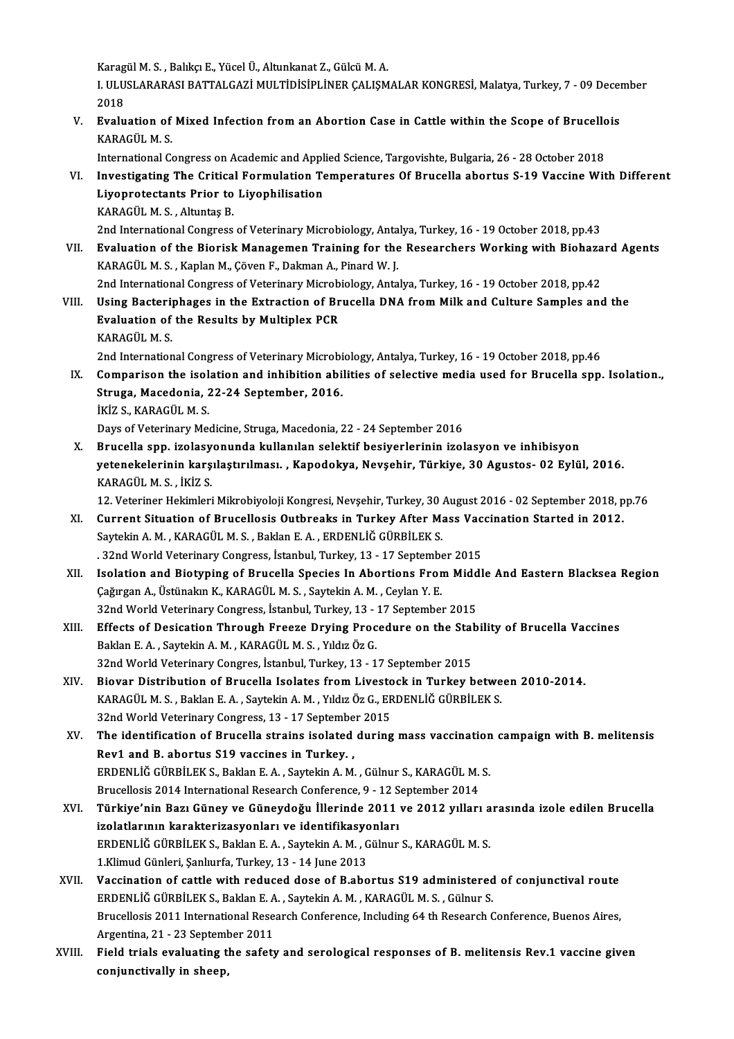Karagül M. S. , Balıkçı E., Yücel Ü., Altunkanat Z., Gülcü M. A.<br>LULUSLARARASLRATTALCAZİ MULTİDİSİDLİNED CALISM

I. ULUSLARARASI BATTALGAZİ MULTİDİSİPLİNER ÇALIŞMALAR KONGRESİ, Malatya, Turkey, 7 - 09 December<br>2018 Karag<br>I. ULU<br>2018<br>Evalu I. ULUSLARARASI BATTALGAZI MULTIDISIPLINER ÇALIŞMALAR KONGRESI, Malatya, Turkey, 7 - 09 Decen<br>2018<br>V. Evaluation of Mixed Infection from an Abortion Case in Cattle within the Scope of Brucellois<br>20RACÜL M.S

2018<br>Evaluation of<br>KARAGÜL M. S.<br>International C Evaluation of Mixed Infection from an Abortion Case in Cattle within the Scope of Brucello<br>KARAGÜL M. S.<br>International Congress on Academic and Applied Science, Targovishte, Bulgaria, 26 - 28 October 2018<br>Investigating The

KARAGÜL M. S.<br>International Congress on Academic and Applied Science, Targovishte, Bulgaria, 26 - 28 October 2018<br>VI. Investigating The Critical Formulation Temperatures Of Brucella abortus S-19 Vaccine With Different<br>I iv International Congress on Academic and Appl<br>Investigating The Critical Formulation Te<br>Liyoprotectants Prior to Liyophilisation<br>KARACÜLM S. Altuntes B Investigating The Critica<br>Liyoprotectants Prior to<br>KARAGÜL M.S., Altuntaş B.<br>2nd International Congress Liyoprotectants Prior to Liyophilisation<br>KARAGÜL M. S. , Altuntaş B.<br>2nd International Congress of Veterinary Microbiology, Antalya, Turkey, 16 - 19 October 2018, pp.43<br>Evaluation of the Biorisk Manageman Training for the KARAGÜL M. S. , Altuntaş B.<br>2nd International Congress of Veterinary Microbiology, Antalya, Turkey, 16 - 19 October 2018, pp.43<br>VII. Byaluation of the Biorisk Managemen Training for the Researchers Working with Biohazard A

- 
- 2nd International Congress of Veterinary Microbiology, Anta<br>**Evaluation of the Biorisk Managemen Training for the**<br>KARAGÜL M. S. , Kaplan M., Çöven F., Dakman A., Pinard W. J.<br>2nd International Congress of Veterinary Micro Evaluation of the Biorisk Managemen Training for the Researchers Working with Biohaza<br>KARAGÜL M. S., Kaplan M., Çöven F., Dakman A., Pinard W. J.<br>2nd International Congress of Veterinary Microbiology, Antalya, Turkey, 16 -
- KARAGÜL M. S. , Kaplan M., Çöven F., Dakman A., Pinard W. J.<br>2nd International Congress of Veterinary Microbiology, Antalya, Turkey, 16 19 October 2018, pp.42<br>VIII. Using Bacteriphages in the Extraction of Brucella DNA f 2nd International Congress of Veterinary Microb<br>Using Bacteriphages in the Extraction of Br<br>Evaluation of the Results by Multiplex PCR<br>KARACÜLM S Using Bacteri<br>Evaluation of<br>KARAGÜL M. S.<br>2nd Internation Evaluation of the Results by Multiplex PCR<br>KARAGÜL M.S.<br>2nd International Congress of Veterinary Microbiology, Antalya, Turkey, 16 - 19 October 2018, pp.46
	-

IX. Comparison the isolation and inhibition abilities of selective media used for Brucella spp. Isolation., 2nd International Congress of Veterinary Microbi<br>Comparison the isolation and inhibition abi<br>Struga, Macedonia, 22-24 September, 2016.<br>IVIZ S. VARACÜLM S Comparison the isol<br>Struga, Macedonia, 2<br>İKİZ S., KARAGÜL M. S.<br>Dava of Vatarinary Ma İKİZ S., KARAGÜL M. S.<br>Days of Veterinary Medicine, Struga, Macedonia, 22 - 24 September 2016

X. Brucella spp. izolasyonunda kullanılan selektif besiyerlerinin izolasyon ve inhibisyon Days of Veterinary Medicine, Struga, Macedonia, 22 - 24 September 2016<br>Brucella spp. izolasyonunda kullanılan selektif besiyerlerinin izolasyon ve inhibisyon<br>yetenekelerinin karşılaştırılması. , Kapodokya, Nevşehir, Türkiy Brucella spp. izolasy<br>yetenekelerinin karş<br>KARAGÜL M. S. , İKİZ S.<br>12 Veteriner Hekimleri yetenekelerinin karşılaştırılması. , Kapodokya, Nevşehir, Türkiye, 30 Agustos- 02 Eylül, 2016.<br>KARAGÜL M. S. , İKİZ S.<br>12. Veteriner Hekimleri Mikrobiyoloji Kongresi, Nevşehir, Turkey, 30 August 2016 - 02 September 2018, p

- KARAGÜL M. S. , İKİZ S.<br>12. Veteriner Hekimleri Mikrobiyoloji Kongresi, Nevşehir, Turkey, 30 August 2016 02 September 2018, p<br>2012. XI. Current Situation of Brucellosis Outbreaks in Turkey After Mass Vaccination Star 12. Veteriner Hekimleri Mikrobiyoloji Kongresi, Nevşehir, Turkey, 30<br>Current Situation of Brucellosis Outbreaks in Turkey After M:<br>Saytekin A. M. , KARAGÜL M. S. , Baklan E. A. , ERDENLİĞ GÜRBİLEK S.<br>22nd Werld Veterinary Current Situation of Brucellosis Outbreaks in Turkey After Mass Vac<br>Saytekin A. M., KARAGÜL M. S., Baklan E. A., ERDENLİĞ GÜRBİLEK S.<br>. 32nd World Veterinary Congress, İstanbul, Turkey, 13 - 17 September 2015<br>Jeolation and
- Saytekin A. M. , KARAGÜL M. S. , Baklan E. A. , ERDENLİĞ GÜRBİLEK S.<br>32nd World Veterinary Congress, İstanbul, Turkey, 13 17 September 2015.<br>XII. Isolation and Biotyping of Brucella Species In Abortions From Middle And E 32nd World Veterinary Congress, İstanbul, Turkey, 13 - 17 Septembe<br>Isolation and Biotyping of Brucella Species In Abortions Fror<br>Çağırgan A., Üstünakın K., KARAGÜLM.S. , Saytekin A.M. , Ceylan Y. E.<br>22nd World Veterinary C Isolation and Biotyping of Brucella Species In Abortions From Midd<br>Çağırgan A., Üstünakın K., KARAGÜL M. S. , Saytekin A. M. , Ceylan Y. E.<br>32nd World Veterinary Congress, İstanbul, Turkey, 13 - 17 September 2015<br>Effects o Cağırgan A., Üstünakın K., KARAGÜL M. S. , Saytekin A. M. , Ceylan Y. E.<br>32nd World Veterinary Congress, İstanbul, Turkey, 13 - 17 September 2015<br>XIII. Effects of Desication Through Freeze Drying Procedure on the Stability
- 32nd World Veterinary Congress, İstanbul, Turkey, 13 -<br>Effects of Desication Through Freeze Drying Proc<br>Baklan E.A., Saytekin A.M., KARAGÜLM.S., Yıldız Öz G. Effects of Desication Through Freeze Drying Procedure on the Stal<br>Baklan E. A. , Saytekin A. M. , KARAGÜL M. S. , Yıldız Öz G.<br>32nd World Veterinary Congres, İstanbul, Turkey, 13 - 17 September 2015<br>Biovan Distribution of Baklan E. A. , Saytekin A. M. , KARAGÜL M. S. , Yıldız Öz G.<br>32nd World Veterinary Congres, İstanbul, Turkey, 13 - 17 September 2015<br>XIV. Biovar Distribution of Brucella Isolates from Livestock in Turkey between 2010-2014.
- 32nd World Veterinary Congres, İstanbul, Turkey, 13 17 September 2015<br>Biovar Distribution of Brucella Isolates from Livestock in Turkey betwe<br>KARAGÜL M.S., Baklan E.A., Saytekin A.M., Yıldız Öz G., ERDENLİĞ GÜRBİLEK S.<br>2 Biovar Distribution of Brucella Isolates from Livesto<br>KARAGÜL M.S., Baklan E.A., Saytekin A.M., Yıldız Öz G., ER<br>32nd World Veterinary Congress, 13 - 17 September 2015<br>The identification of Brucella strains isolated during KARAGÜL M. S., Baklan E. A., Saytekin A. M., Yıldız Öz G., ERDENLİĞ GÜRBİLEK S.<br>32nd World Veterinary Congress, 13 - 17 September 2015<br>XV. The identification of Brucella strains isolated during mass vaccination campaign wi
- 32nd World Veterinary Congress, 13 17 Septembe<br>The identification of Brucella strains isolated<br>Rev1 and B. abortus S19 vaccines in Turkey. ,<br>FRDENI IČ CÜRRILEKS, Poklan F.A., Saytekin A.M. The identification of Brucella strains isolated during mass vaccination<br>Rev1 and B. abortus S19 vaccines in Turkey. ,<br>ERDENLIĞ GÜRBİLEK S., Baklan E. A. , Saytekin A. M. , Gülnur S., KARAGÜL M. S.<br>Prucellosis 2014 Internat Rev1 and B. abortus S19 vaccines in Turkey. ,<br>ERDENLIĞ GÜRBILEK S., Baklan E. A. , Saytekin A. M. , Gülnur S., KARAGÜL M. S. ERDENLIĞ GÜRBILEK S., Baklan E. A. , Saytekin A. M. , Gülnur S., KARAGÜL M. S.<br>Brucellosis 2014 International Research Conference, 9 - 12 September 2014<br>XVI. Türkiye'nin Bazı Güney ve Güneydoğu İllerinde 2011 ve 2012 y
- Brucellosis 2014 International Research Conference, 9 12 September 2014<br>Türkiye'nin Bazı Güney ve Güneydoğu İllerinde 2011 ve 2012 yılları a<br>izolatlarının karakterizasyonları ve identifikasyonları<br>ERDENLİĞ GÜRBİLEK S., B Türkiye'nin Bazı Güney ve Güneydoğu İllerinde 2011 ve 2012 yılları a<br>izolatlarının karakterizasyonları ve identifikasyonları<br>ERDENLİĞ GÜRBİLEK S., Baklan E. A. , Saytekin A. M. , Gülnur S., KARAGÜL M. S.<br>1 Klimud Günlari, izolatlarının karakterizasyonları ve identifikasyonları<br>ERDENLİĞ GÜRBİLEK S., Baklan E. A. , Saytekin A. M. , Gülnur<br>1.Klimud Günleri, Sanlıurfa, Turkev, 13 - 14 June 2013
- XVII. Vaccination of cattle with reduced dose of B.abortus S19 administered of conjunctival route 1.Klimud Günleri, Şanlıurfa, Turkey, 13 - 14 June 2013<br>Vaccination of cattle with reduced dose of B.abortus S19 administered<br>ERDENLİĞ GÜRBİLEK S., Baklan E. A. , Saytekin A. M. , KARAGÜL M. S. , Gülnur S.<br>Prusellesis 2011 Brucellosis 2011 International Research Conference, Including 64 th Research Conference, Buenos Aires,<br>Argentina, 21 - 23 September 2011 ERDENLİĞ GÜRBİLEK S., Baklan E. A<br>Brucellosis 2011 International Rese<br>Argentina, 21 - 23 September 2011<br>Field trials evaluating the safatı Brucellosis 2011 International Research Conference, Including 64 th Research Conference, Buenos Aires,<br>Argentina, 21 - 23 September 2011<br>XVIII. Field trials evaluating the safety and serological responses of B. melitensis
- Argentina, 21 23 Septeml<br>Field trials evaluating t<br>conjunctivally in sheep,